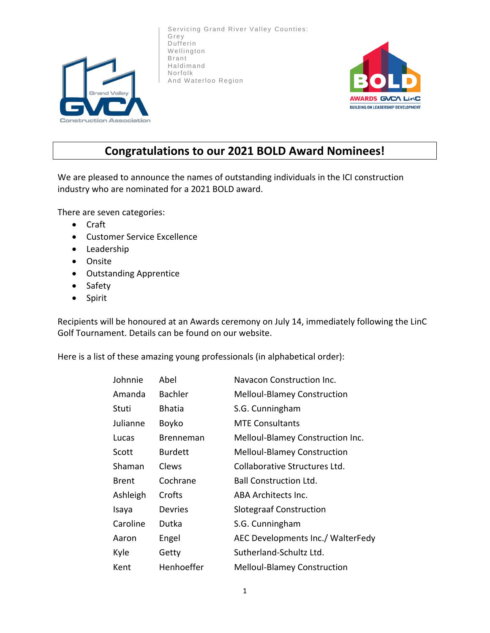

Servicing Grand River Valley Counties: Grey Dufferin Wellington Brant Haldimand Norfolk And Waterloo Region



## **Congratulations to our 2021 BOLD Award Nominees!**

We are pleased to announce the names of outstanding individuals in the ICI construction industry who are nominated for a 2021 BOLD award.

There are seven categories:

- Craft
- Customer Service Excellence
- Leadership
- Onsite
- Outstanding Apprentice
- Safety
- Spirit

Recipients will be honoured at an Awards ceremony on July 14, immediately following the LinC Golf Tournament. Details can be found on our website.

Here is a list of these amazing young professionals (in alphabetical order):

| Johnnie      | Abel           | Navacon Construction Inc.          |
|--------------|----------------|------------------------------------|
| Amanda       | <b>Bachler</b> | <b>Melloul-Blamey Construction</b> |
| Stuti        | <b>Bhatia</b>  | S.G. Cunningham                    |
| Julianne     | Boyko          | <b>MTE Consultants</b>             |
| Lucas        | Brenneman      | Melloul-Blamey Construction Inc.   |
| Scott        | <b>Burdett</b> | <b>Melloul-Blamey Construction</b> |
| Shaman       | Clews          | Collaborative Structures Ltd.      |
| <b>Brent</b> | Cochrane       | <b>Ball Construction Ltd.</b>      |
| Ashleigh     | Crofts         | ABA Architects Inc.                |
| Isaya        | Devries        | <b>Slotegraaf Construction</b>     |
| Caroline     | Dutka          | S.G. Cunningham                    |
| Aaron        | Engel          | AEC Developments Inc./ WalterFedy  |
| Kyle         | Getty          | Sutherland-Schultz Ltd.            |
| Kent         | Henhoeffer     | <b>Melloul-Blamey Construction</b> |